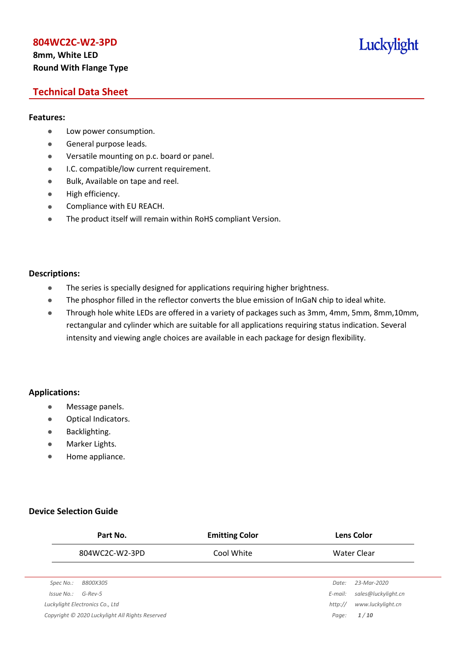# **8mm, White LED Round With Flange Type**

# Luckylight

# **Technical Data Sheet**

### **Features:**

- **•** Low power consumption.
- **General purpose leads.**
- Versatile mounting on p.c. board or panel.
- **I.C. compatible/low current requirement.**
- Bulk, Available on tape and reel.
- $\bullet$  High efficiency.
- **•** Compliance with EU REACH.
- The product itself will remain within RoHS compliant Version.

#### **Descriptions:**

- The series is specially designed for applications requiring higher brightness.
- The phosphor filled in the reflector converts the blue emission of InGaN chip to ideal white.
- Through hole white LEDs are offered in a variety of packages such as 3mm, 4mm, 5mm, 8mm,10mm, rectangular and cylinder which are suitable for all applications requiring status indication. Several intensity and viewing angle choices are available in each package for design flexibility.

## **Applications:**

- **•** Message panels.
- Optical Indicators.
- Backlighting.
- Marker Lights.
- **•** Home appliance.

## **Device Selection Guide**

|            | Part No.                                        | <b>Emitting Color</b> |         | <b>Lens Color</b>   |
|------------|-------------------------------------------------|-----------------------|---------|---------------------|
|            | 804WC2C-W2-3PD                                  | Cool White            |         | Water Clear         |
|            |                                                 |                       |         |                     |
| Spec No.:  | <i>B800X305</i>                                 |                       | Date:   | 23-Mar-2020         |
| Issue No.: | $G$ -Rev-5                                      |                       | E-mail: | sales@luckylight.cn |
|            | Luckylight Electronics Co., Ltd                 |                       | http:// | www.luckylight.cn   |
|            | Copyright © 2020 Luckylight All Rights Reserved |                       | Page:   | 1/10                |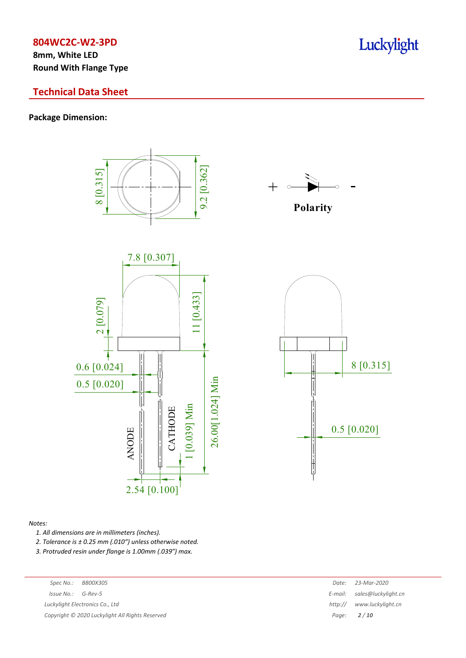**8mm, White LED Round With Flange Type**

## **Technical Data Sheet**

## **Package Dimension:**



#### *Notes:*

*1. All dimensions are in millimeters (inches).*

*2. Tolerance is ± 0.25 mm (.010″) unless otherwise noted.*

*3. Protruded resin under flange is 1.00mm (.039″) max.*

| Spec No.: B800X305 |  | Date: 23-Mar-2020 |
|--------------------|--|-------------------|
|                    |  |                   |

*Issue No.: G-Rev-5 E-mail: sales@luckylight.cn*

*Luckylight Electronics Co., Ltd ht* 

*Copyright © 2020 Luckylight All Rights Reserved Page: 2 / 10*



| Date: | 23-Mar-2020               |
|-------|---------------------------|
|       | mail: sales@luckylight.cn |
|       | ttp:// www.luckylight.cn  |
| Page: | 2/10                      |

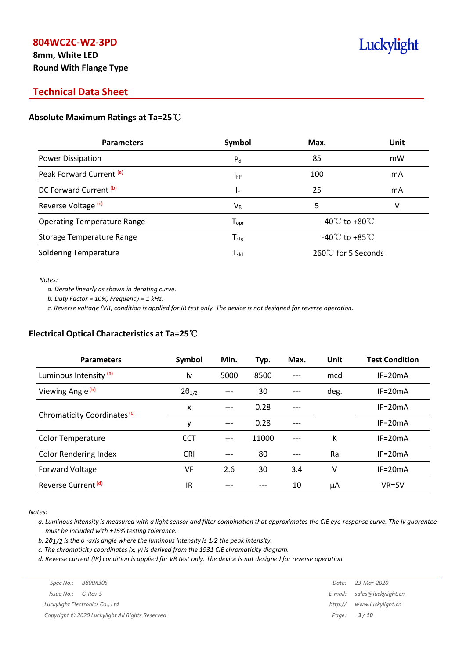# **8mm, White LED Round With Flange Type**

# Luckylight

# **Technical Data Sheet**

## **Absolute Maximum Ratings at Ta=25**℃

| <b>Parameters</b>                  | Symbol                       | Max.                                 | Unit |
|------------------------------------|------------------------------|--------------------------------------|------|
| Power Dissipation                  | $P_{d}$                      | 85                                   | mW   |
| Peak Forward Current (a)           | <b>IFP</b>                   | 100                                  | mA   |
| DC Forward Current (b)             | ΙF                           | 25                                   | mA   |
| Reverse Voltage <sup>(c)</sup>     | $V_{R}$                      | 5                                    | v    |
| <b>Operating Temperature Range</b> | ${\mathsf T}_{\textsf{opr}}$ | -40 $^{\circ}$ C to +80 $^{\circ}$ C |      |
| Storage Temperature Range          | ${\mathsf T}_{\text{stg}}$   | -40 $^{\circ}$ C to +85 $^{\circ}$ C |      |
| <b>Soldering Temperature</b>       | ${\mathsf T}_{\textsf{sld}}$ | 260℃ for 5 Seconds                   |      |

*Notes:*

*a. Derate linearly as shown in derating curve.*

*b. Duty Factor = 10%, Frequency = 1 kHz.*

c. Reverse voltage (VR) condition is applied for IR test only. The device is not designed for reverse operation.

## **Electrical Optical Characteristics at Ta=25**℃

| <b>Parameters</b>                       | Symbol          | Min.  | Typ.  | Max.  | Unit | <b>Test Condition</b> |
|-----------------------------------------|-----------------|-------|-------|-------|------|-----------------------|
| Luminous Intensity (a)                  | l٧              | 5000  | 8500  | $---$ | mcd  | $IF = 20mA$           |
| Viewing Angle <sup>(b)</sup>            | $2\theta_{1/2}$ |       | 30    |       | deg. | $IF = 20mA$           |
|                                         | x               | $---$ | 0.28  |       |      | $IF = 20mA$           |
| Chromaticity Coordinates <sup>(c)</sup> | y               | $---$ | 0.28  |       |      | $IF=20mA$             |
| <b>Color Temperature</b>                | <b>CCT</b>      | ---   | 11000 |       | К    | $IF = 20mA$           |
| <b>Color Rendering Index</b>            | <b>CRI</b>      |       | 80    |       | Ra   | $IF = 20mA$           |
| Forward Voltage                         | VF              | 2.6   | 30    | 3.4   | ٧    | $IF = 20mA$           |
| Reverse Current <sup>(d)</sup>          | IR              |       |       | 10    | μA   | $VR=5V$               |

*Notes:*

a. Luminous intensity is measured with a light sensor and filter combination that approximates the CIE eye-response curve. The Iv guarantee *must be included with ±15% testing tolerance.*

*b. 2θ1/2 is the o -axis angle where the luminous intensity is 1⁄2 the peak intensity.*

*c. The chromaticity coordinates (x, y) is derived from the 1931 CIE chromaticity diagram.*

d. Reverse current (IR) condition is applied for VR test only. The device is not designed for reverse operation.

| Spec No.:              | <i>B800X305</i>                                 | Date:   | 23-Mar-2020                 |
|------------------------|-------------------------------------------------|---------|-----------------------------|
| $Is sue No.:  G-Rev-5$ |                                                 |         | E-mail: sales@luckylight.cn |
|                        | Luckylight Electronics Co., Ltd                 | http:// | www.luckylight.cn           |
|                        | Copyright © 2020 Luckylight All Rights Reserved |         | Page: <b>3/10</b>           |
|                        |                                                 |         |                             |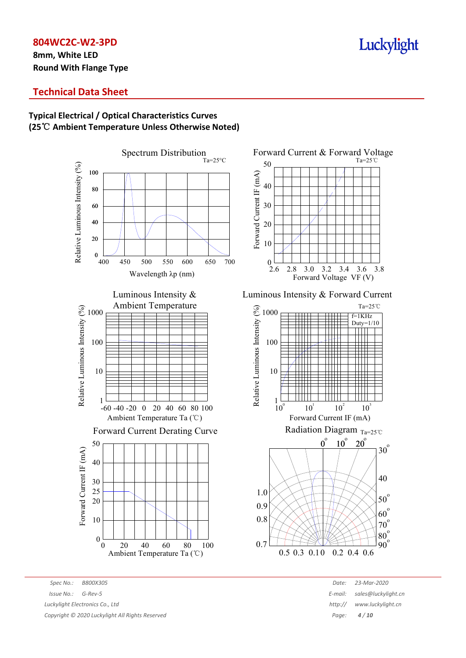**8mm, White LED Round With Flange Type**

# Luckylight

# **Technical Data Sheet**

20

 $0\frac{1}{400}$ 

# **(25**℃ **Ambient Temperature Unless Otherwise Noted)** Spectrum Distribution  $Ta = 25^{\circ}C$ Relative Luminous Intensity (%) Relative Luminous Intensity (%) 100 80 60 40

**Typical Electrical / Optical Characteristics Curves**

Wavelength λp (nm) Luminous Intensity & Ambient Temperature Relative Luminous Intensity (%) 1 1000 100 10

400 450 500 550 600 650 700

-60 -40 -20 0 20 40 60 80 100 Ambient Temperature Ta (℃)

## Forward Current Derating Curve



*Spec No.: B800X305 Date: 23-Mar-2020 Issue No.: G-Rev-5 E-mail: sales@luckylight.cn Luckylight Electronics Co., Ltd http:// www.luckylight.cn*

*Copyright © 2020 Luckylight All Rights Reserved Page: 4 / 10*



30

40

50

Forward Current & Forward Voltage

Ta=25℃

#### Luminous Intensity & Forward Current

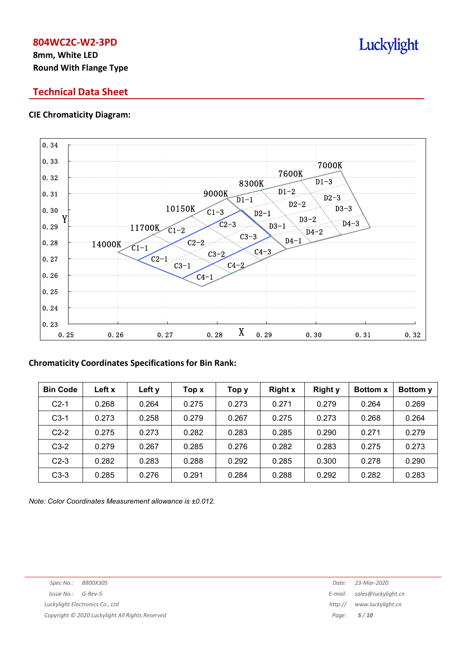# **8mm, White LED Round With Flange Type**

# **Technical Data Sheet**

## **CIE Chromaticity Diagram:**



## **Chromaticity Coordinates Specifications for Bin Rank:**

| <b>Bin Code</b> | Left x | Left y | Top x | Тор у | <b>Right x</b> | <b>Right y</b> | <b>Bottom x</b> | Bottom y |
|-----------------|--------|--------|-------|-------|----------------|----------------|-----------------|----------|
| $C2-1$          | 0.268  | 0.264  | 0.275 | 0.273 | 0.271          | 0.279          | 0.264           | 0.269    |
| $C3-1$          | 0.273  | 0.258  | 0.279 | 0.267 | 0.275          | 0.273          | 0.268           | 0.264    |
| $C2-2$          | 0.275  | 0.273  | 0.282 | 0.283 | 0.285          | 0.290          | 0.271           | 0.279    |
| $C3-2$          | 0.279  | 0.267  | 0.285 | 0.276 | 0.282          | 0.283          | 0.275           | 0.273    |
| $C2-3$          | 0.282  | 0.283  | 0.288 | 0.292 | 0.285          | 0.300          | 0.278           | 0.290    |
| $C3-3$          | 0.285  | 0.276  | 0.291 | 0.284 | 0.288          | 0.292          | 0.282           | 0.283    |

*Note: Color Coordinates Measurement allowance is ±0.012.*

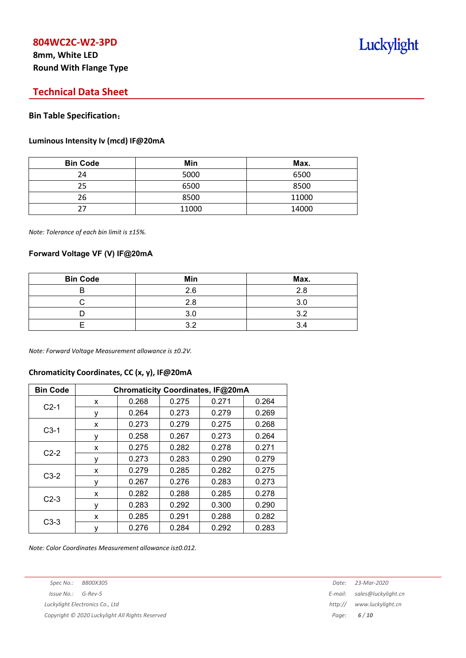# **8mm, White LED Round With Flange Type**

## **Technical Data Sheet**

#### **Bin Table Specification**:

#### **Luminous Intensity Iv (mcd) IF@20mA**

| <b>Bin Code</b> | Min   | Max.  |
|-----------------|-------|-------|
| 24              | 5000  | 6500  |
| 25              | 6500  | 8500  |
| 26              | 8500  | 11000 |
| วร              | 11000 | 14000 |

*Note: Tolerance of each bin limit is ±15%.*

### **Forward Voltage VF (V) IF@20mA**

| <b>Bin Code</b> | Min | Max. |
|-----------------|-----|------|
|                 | 2.6 | 2.8  |
|                 | 2.8 | ⌒    |
|                 | 3.0 | ⌒    |
|                 | ົ   |      |

*Note: Forward Voltage Measurement allowance is ±0.2V.*

## **Chromaticity Coordinates, CC (x, y), IF@20mA**

| <b>Bin Code</b> | Chromaticity Coordinates, IF@20mA |       |       |       |       |  |  |  |
|-----------------|-----------------------------------|-------|-------|-------|-------|--|--|--|
| $C2-1$          | x                                 | 0.268 | 0.275 | 0.271 | 0.264 |  |  |  |
|                 | ٧                                 | 0.264 | 0.273 | 0.279 | 0.269 |  |  |  |
|                 | X                                 | 0.273 | 0.279 | 0.275 | 0.268 |  |  |  |
| $C3-1$          | ٧                                 | 0.258 | 0.267 | 0.273 | 0.264 |  |  |  |
| $C2-2$          | x                                 | 0.275 | 0.282 | 0.278 | 0.271 |  |  |  |
|                 | y                                 | 0.273 | 0.283 | 0.290 | 0.279 |  |  |  |
|                 | X                                 | 0.279 | 0.285 | 0.282 | 0.275 |  |  |  |
| $C3-2$          | ٧                                 | 0.267 | 0.276 | 0.283 | 0.273 |  |  |  |
|                 | x                                 | 0.282 | 0.288 | 0.285 | 0.278 |  |  |  |
| $C2-3$          | ٧                                 | 0.283 | 0.292 | 0.300 | 0.290 |  |  |  |
| $C3-3$          | x                                 | 0.285 | 0.291 | 0.288 | 0.282 |  |  |  |
|                 | у                                 | 0.276 | 0.284 | 0.292 | 0.283 |  |  |  |

*Note: Color Coordinates Measurement allowance is±0.012.*

*Copyright © 2020 Luckylight All Rights Reserved Page: 6 / 10*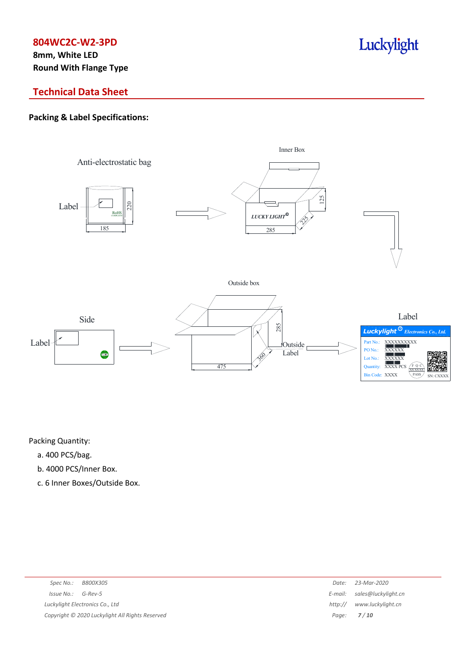**8mm, White LED Round With Flange Type**

# Luckylight

# **Technical Data Sheet**

## **Packing & Label Specifications:**



Packing Quantity:

- a. 400 PCS/bag.
- b. 4000 PCS/Inner Box.
- c. 6 Inner Boxes/Outside Box.

| Spec No.:<br>B800X305                           | Date:   | 23-Mar-2020                 |
|-------------------------------------------------|---------|-----------------------------|
| Issue No.: G-Rev-5                              |         | E-mail: sales@luckylight.cn |
| Luckylight Electronics Co., Ltd                 | http:// | www.luckylight.cn           |
| Copyright © 2020 Luckylight All Rights Reserved |         | Page: <b>7/10</b>           |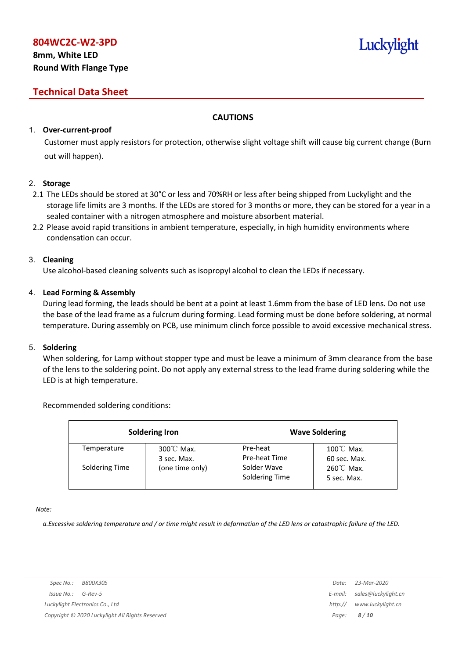# **8mm, White LED Round With Flange Type**

# **Technical Data Sheet**

## **CAUTIONS**

## 1. **Over-current-proof**

Customer must apply resistors for protection, otherwise slight voltage shift will cause big current change (Burn out will happen).

## 2. **Storage**

- 2.1 The LEDs should be stored at 30°C or less and 70%RH or less after being shipped from Luckylight and the storage life limits are 3 months. If the LEDs are stored for 3 months or more, they can be stored for a year in a sealed container with a nitrogen atmosphere and moisture absorbent material.
- 2.2 Please avoid rapid transitions in ambient temperature, especially, in high humidity environments where condensation can occur.

## 3. **Cleaning**

Use alcohol-based cleaning solvents such as isopropyl alcohol to clean the LEDs if necessary.

## 4. **Lead Forming & Assembly**

During lead forming, the leads should be bent at a point at least 1.6mm from the base of LED lens. Do not use the base of the lead frame as a fulcrum during forming. Lead forming must be done before soldering, at normal temperature. During assembly on PCB, use minimum clinch force possible to avoid excessive mechanical stress.

## 5. **Soldering**

When soldering, for Lamp without stopper type and must be leave a minimum of 3mm clearance from the base of the lens to the soldering point. Do not apply any external stress to the lead frame during soldering while the LED is at high temperature.

## Recommended soldering conditions:

| <b>Soldering Iron</b> |                                     | <b>Wave Soldering</b>         |                                      |
|-----------------------|-------------------------------------|-------------------------------|--------------------------------------|
| Temperature           | $300^{\circ}$ C Max.<br>3 sec. Max. | Pre-heat<br>Pre-heat Time     | $100^{\circ}$ C Max.<br>60 sec. Max. |
| Soldering Time        | (one time only)                     | Solder Wave<br>Soldering Time | $260^{\circ}$ C Max.<br>5 sec. Max.  |

*Note:*

a. Excessive soldering temperature and / or time might result in deformation of the LED lens or catastrophic failure of the LED.

Luckylight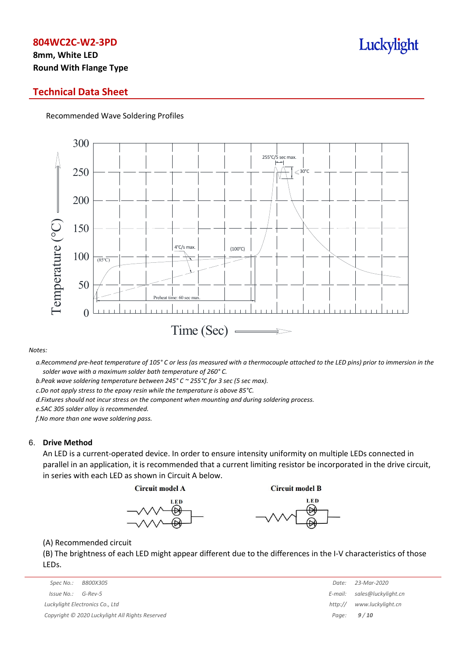# **8mm, White LED Round With Flange Type**

## **Technical Data Sheet**

Recommended Wave Soldering Profiles



*Notes:*

a. Recommend pre-heat temperature of 105° C or less (as measured with a thermocouple attached to the LED pins) prior to immersion in the *solder wave with a maximum solder bath temperature of 260° C.*

*b.Peak wave soldering temperature between 245° C ~ 255°C for 3 sec (5 sec max).*

*c.Do not apply stress to the epoxy resin while the temperature is above 85°C.*

*d.Fixtures should not incur stress on the component when mounting and during soldering process.*

*e.SAC 305 solder alloy is recommended.*

*f.No more than one wave soldering pass.*

#### 6. **Drive Method**

An LED is a current-operated device. In order to ensure intensity uniformity on multiple LEDs connected in parallel in an application, it is recommended that a current limiting resistor be incorporated in the drive circuit, in series with each LED as shown in Circuit A below.

**Circuit model A** 

**Circuit model B** 





(A) Recommended circuit

(B) The brightness of each LED might appear different due to the differences in the I-V characteristics of those LEDs.

| Spec No.:<br><i>B800X305</i>                    | Date:   | 23-Mar-2020         |
|-------------------------------------------------|---------|---------------------|
| Issue No.:<br>G-Rev-5                           | E-mail: | sales@luckylight.cr |
| Luckylight Electronics Co., Ltd                 |         | www.luckylight.cn   |
| Copyright © 2020 Luckylight All Rights Reserved |         | Page: $9/10$        |

| Date:   | 23-Mar-2020         |
|---------|---------------------|
| E-mail: | sales@luckylight.cn |
| http:// | www.luckylight.cn   |
| Page:   | 9/10                |

# Luckylight